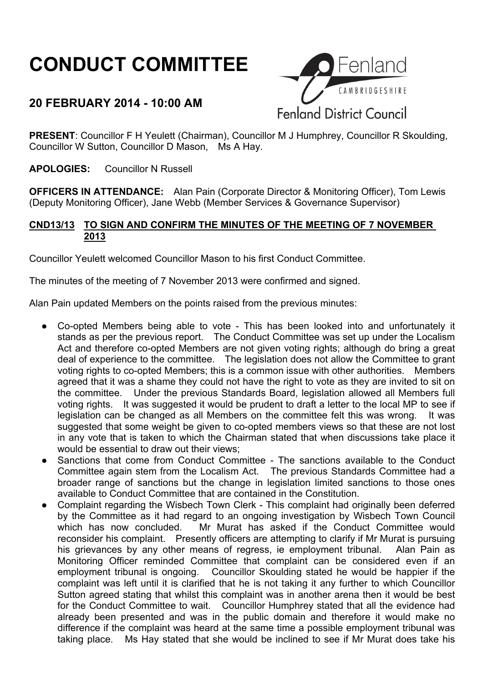# **CONDUCT COMMITTEE**

# **20 FEBRUARY 2014 - 10:00 AM**



**PRESENT:** Councillor F H Yeulett (Chairman), Councillor M J Humphrey, Councillor R Skoulding, Councillor W Sutton, Councillor D Mason, Ms A Hay.

**APOLOGIES:** Councillor N Russell

**OFFICERS IN ATTENDANCE:** Alan Pain (Corporate Director & Monitoring Officer), Tom Lewis (Deputy Monitoring Officer), Jane Webb (Member Services & Governance Supervisor)

#### **CND13/13 TO SIGN AND CONFIRM THE MINUTES OF THE MEETING OF 7 NOVEMBER 2013**

Councillor Yeulett welcomed Councillor Mason to his first Conduct Committee.

The minutes of the meeting of 7 November 2013 were confirmed and signed.

Alan Pain updated Members on the points raised from the previous minutes:

- Co-opted Members being able to vote This has been looked into and unfortunately it stands as per the previous report. The Conduct Committee was set up under the Localism Act and therefore co-opted Members are not given voting rights; although do bring a great deal of experience to the committee. The legislation does not allow the Committee to grant voting rights to co-opted Members; this is a common issue with other authorities. Members agreed that it was a shame they could not have the right to vote as they are invited to sit on the committee. Under the previous Standards Board, legislation allowed all Members full voting rights. It was suggested it would be prudent to draft a letter to the local MP to see if legislation can be changed as all Members on the committee felt this was wrong. It was suggested that some weight be given to co-opted members views so that these are not lost in any vote that is taken to which the Chairman stated that when discussions take place it would be essential to draw out their views:
- Sanctions that come from Conduct Committee The sanctions available to the Conduct Committee again stem from the Localism Act. The previous Standards Committee had a broader range of sanctions but the change in legislation limited sanctions to those ones available to Conduct Committee that are contained in the Constitution.
- Complaint regarding the Wisbech Town Clerk This complaint had originally been deferred by the Committee as it had regard to an ongoing investigation by Wisbech Town Council which has now concluded. Mr Murat has asked if the Conduct Committee would reconsider his complaint. Presently officers are attempting to clarify if Mr Murat is pursuing his grievances by any other means of regress, ie employment tribunal. Alan Pain as Monitoring Officer reminded Committee that complaint can be considered even if an employment tribunal is ongoing. Councillor Skoulding stated he would be happier if the complaint was left until it is clarified that he is not taking it any further to which Councillor Sutton agreed stating that whilst this complaint was in another arena then it would be best for the Conduct Committee to wait. Councillor Humphrey stated that all the evidence had already been presented and was in the public domain and therefore it would make no difference if the complaint was heard at the same time a possible employment tribunal was taking place. Ms Hay stated that she would be inclined to see if Mr Murat does take his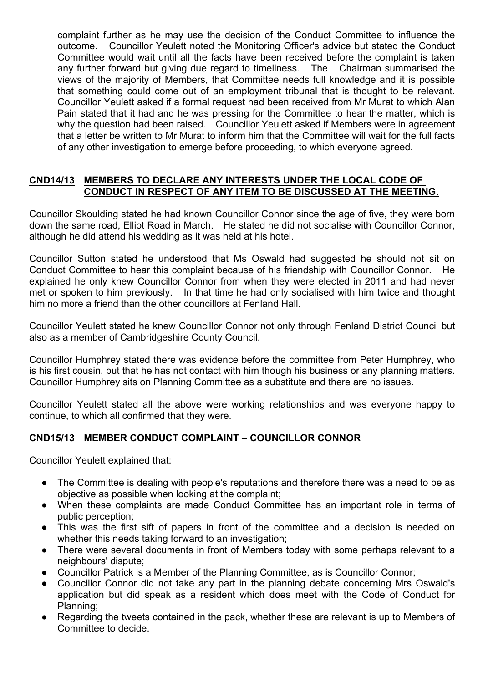complaint further as he may use the decision of the Conduct Committee to influence the outcome. Councillor Yeulett noted the Monitoring Officer's advice but stated the Conduct Committee would wait until all the facts have been received before the complaint is taken any further forward but giving due regard to timeliness. The Chairman summarised the views of the majority of Members, that Committee needs full knowledge and it is possible that something could come out of an employment tribunal that is thought to be relevant. Councillor Yeulett asked if a formal request had been received from Mr Murat to which Alan Pain stated that it had and he was pressing for the Committee to hear the matter, which is why the question had been raised. Councillor Yeulett asked if Members were in agreement that a letter be written to Mr Murat to inform him that the Committee will wait for the full facts of any other investigation to emerge before proceeding, to which everyone agreed.

### **CND14/13 MEMBERS TO DECLARE ANY INTERESTS UNDER THE LOCAL CODE OF CONDUCT IN RESPECT OF ANY ITEM TO BE DISCUSSED AT THE MEETING.**

Councillor Skoulding stated he had known Councillor Connor since the age of five, they were born down the same road, Elliot Road in March. He stated he did not socialise with Councillor Connor, although he did attend his wedding as it was held at his hotel.

Councillor Sutton stated he understood that Ms Oswald had suggested he should not sit on Conduct Committee to hear this complaint because of his friendship with Councillor Connor. He explained he only knew Councillor Connor from when they were elected in 2011 and had never met or spoken to him previously. In that time he had only socialised with him twice and thought him no more a friend than the other councillors at Fenland Hall.

Councillor Yeulett stated he knew Councillor Connor not only through Fenland District Council but also as a member of Cambridgeshire County Council.

Councillor Humphrey stated there was evidence before the committee from Peter Humphrey, who is his first cousin, but that he has not contact with him though his business or any planning matters. Councillor Humphrey sits on Planning Committee as a substitute and there are no issues.

Councillor Yeulett stated all the above were working relationships and was everyone happy to continue, to which all confirmed that they were.

## **CND15/13 MEMBER CONDUCT COMPLAINT – COUNCILLOR CONNOR**

Councillor Yeulett explained that:

- The Committee is dealing with people's reputations and therefore there was a need to be as objective as possible when looking at the complaint;
- When these complaints are made Conduct Committee has an important role in terms of public perception;
- This was the first sift of papers in front of the committee and a decision is needed on whether this needs taking forward to an investigation:
- There were several documents in front of Members today with some perhaps relevant to a neighbours' dispute;
- Councillor Patrick is a Member of the Planning Committee, as is Councillor Connor;
- Councillor Connor did not take any part in the planning debate concerning Mrs Oswald's application but did speak as a resident which does meet with the Code of Conduct for Planning;
- Regarding the tweets contained in the pack, whether these are relevant is up to Members of Committee to decide.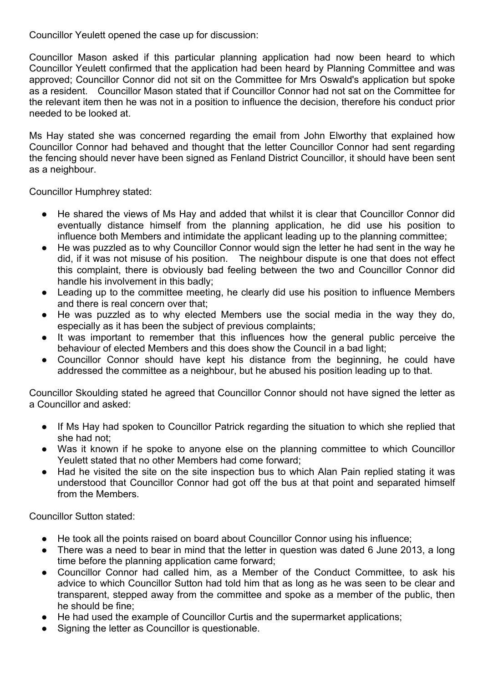Councillor Yeulett opened the case up for discussion:

Councillor Mason asked if this particular planning application had now been heard to which Councillor Yeulett confirmed that the application had been heard by Planning Committee and was approved; Councillor Connor did not sit on the Committee for Mrs Oswald's application but spoke as a resident. Councillor Mason stated that if Councillor Connor had not sat on the Committee for the relevant item then he was not in a position to influence the decision, therefore his conduct prior needed to be looked at.

Ms Hay stated she was concerned regarding the email from John Elworthy that explained how Councillor Connor had behaved and thought that the letter Councillor Connor had sent regarding the fencing should never have been signed as Fenland District Councillor, it should have been sent as a neighbour.

Councillor Humphrey stated:

- He shared the views of Ms Hay and added that whilst it is clear that Councillor Connor did eventually distance himself from the planning application, he did use his position to influence both Members and intimidate the applicant leading up to the planning committee;
- He was puzzled as to why Councillor Connor would sign the letter he had sent in the way he did, if it was not misuse of his position. The neighbour dispute is one that does not effect this complaint, there is obviously bad feeling between the two and Councillor Connor did handle his involvement in this badly;
- Leading up to the committee meeting, he clearly did use his position to influence Members and there is real concern over that;
- He was puzzled as to why elected Members use the social media in the way they do, especially as it has been the subject of previous complaints;
- It was important to remember that this influences how the general public perceive the behaviour of elected Members and this does show the Council in a bad light;
- Councillor Connor should have kept his distance from the beginning, he could have addressed the committee as a neighbour, but he abused his position leading up to that.

Councillor Skoulding stated he agreed that Councillor Connor should not have signed the letter as a Councillor and asked:

- If Ms Hay had spoken to Councillor Patrick regarding the situation to which she replied that she had not;
- Was it known if he spoke to anyone else on the planning committee to which Councillor Yeulett stated that no other Members had come forward;
- Had he visited the site on the site inspection bus to which Alan Pain replied stating it was understood that Councillor Connor had got off the bus at that point and separated himself from the Members.

Councillor Sutton stated:

- He took all the points raised on board about Councillor Connor using his influence:
- There was a need to bear in mind that the letter in question was dated 6 June 2013, a long time before the planning application came forward;
- Councillor Connor had called him, as a Member of the Conduct Committee, to ask his advice to which Councillor Sutton had told him that as long as he was seen to be clear and transparent, stepped away from the committee and spoke as a member of the public, then he should be fine;
- He had used the example of Councillor Curtis and the supermarket applications;
- Signing the letter as Councillor is questionable.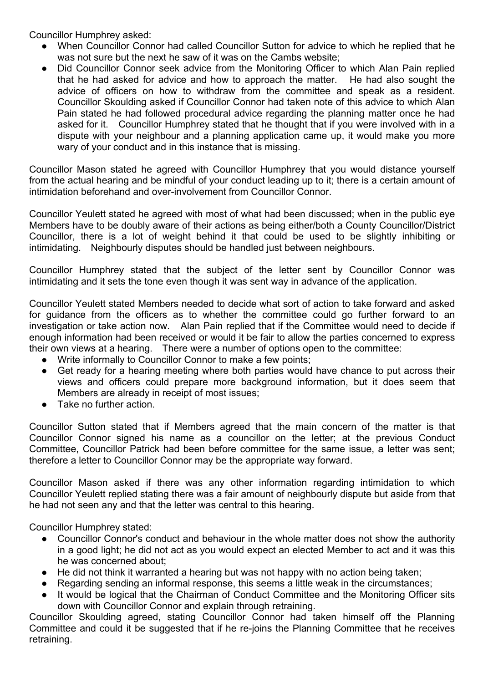Councillor Humphrey asked:

- When Councillor Connor had called Councillor Sutton for advice to which he replied that he was not sure but the next he saw of it was on the Cambs website;
- Did Councillor Connor seek advice from the Monitoring Officer to which Alan Pain replied that he had asked for advice and how to approach the matter. He had also sought the advice of officers on how to withdraw from the committee and speak as a resident. Councillor Skoulding asked if Councillor Connor had taken note of this advice to which Alan Pain stated he had followed procedural advice regarding the planning matter once he had asked for it. Councillor Humphrey stated that he thought that if you were involved with in a dispute with your neighbour and a planning application came up, it would make you more wary of your conduct and in this instance that is missing.

Councillor Mason stated he agreed with Councillor Humphrey that you would distance yourself from the actual hearing and be mindful of your conduct leading up to it; there is a certain amount of intimidation beforehand and over-involvement from Councillor Connor.

Councillor Yeulett stated he agreed with most of what had been discussed; when in the public eye Members have to be doubly aware of their actions as being either/both a County Councillor/District Councillor, there is a lot of weight behind it that could be used to be slightly inhibiting or intimidating. Neighbourly disputes should be handled just between neighbours.

Councillor Humphrey stated that the subject of the letter sent by Councillor Connor was intimidating and it sets the tone even though it was sent way in advance of the application.

Councillor Yeulett stated Members needed to decide what sort of action to take forward and asked for guidance from the officers as to whether the committee could go further forward to an investigation or take action now. Alan Pain replied that if the Committee would need to decide if enough information had been received or would it be fair to allow the parties concerned to express their own views at a hearing. There were a number of options open to the committee:

- Write informally to Councillor Connor to make a few points;
- Get ready for a hearing meeting where both parties would have chance to put across their views and officers could prepare more background information, but it does seem that Members are already in receipt of most issues;
- Take no further action.

Councillor Sutton stated that if Members agreed that the main concern of the matter is that Councillor Connor signed his name as a councillor on the letter; at the previous Conduct Committee, Councillor Patrick had been before committee for the same issue, a letter was sent; therefore a letter to Councillor Connor may be the appropriate way forward.

Councillor Mason asked if there was any other information regarding intimidation to which Councillor Yeulett replied stating there was a fair amount of neighbourly dispute but aside from that he had not seen any and that the letter was central to this hearing.

Councillor Humphrey stated:

- Councillor Connor's conduct and behaviour in the whole matter does not show the authority in a good light; he did not act as you would expect an elected Member to act and it was this he was concerned about;
- He did not think it warranted a hearing but was not happy with no action being taken;
- Regarding sending an informal response, this seems a little weak in the circumstances;
- It would be logical that the Chairman of Conduct Committee and the Monitoring Officer sits down with Councillor Connor and explain through retraining.

Councillor Skoulding agreed, stating Councillor Connor had taken himself off the Planning Committee and could it be suggested that if he re-joins the Planning Committee that he receives retraining.